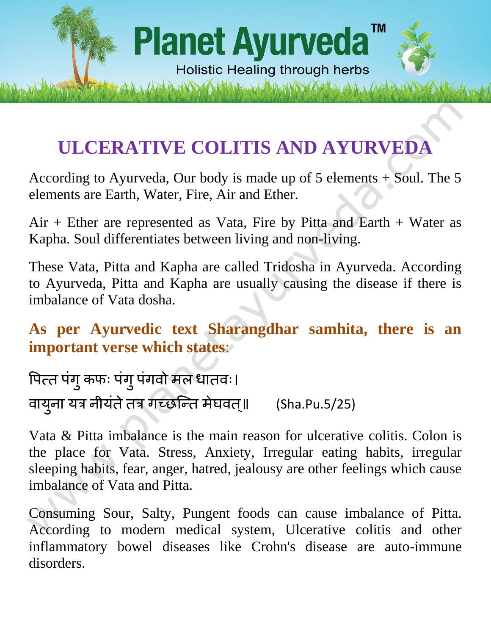# TM **Planet Ayurveda Holistic Healing through herbs**

# **ULCERATIVE COLITIS AND AYURVEDA**

According to Ayurveda, Our body is made up of 5 elements + Soul. The 5 elements are Earth, Water, Fire, Air and Ether.

 $Air + Ether$  are represented as Vata, Fire by Pitta and Earth  $+$  Water as Kapha. Soul differentiates between living and non-living.

These Vata, Pitta and Kapha are called Tridosha in Ayurveda. According to Ayurveda, Pitta and Kapha are usually causing the disease if there is imbalance of Vata dosha.

**As per Ayurvedic text Sharangdhar samhita, there is an important verse which states**:

पित्त पंगु कफः पंगु पंगवो मल धातवः। वाय ु ना यत्र नीयंतेतत्र गच्छन्तत मेघवत॥् (Sha.Pu.5/25)

Vata & Pitta imbalance is the main reason for ulcerative colitis. Colon is the place for Vata. Stress, Anxiety, Irregular eating habits, irregular sleeping habits, fear, anger, hatred, jealousy are other feelings which cause imbalance of Vata and Pitta.

Consuming Sour, Salty, Pungent foods can cause imbalance of Pitta. According to modern medical system, Ulcerative colitis and other inflammatory bowel diseases like Crohn's disease are auto-immune disorders.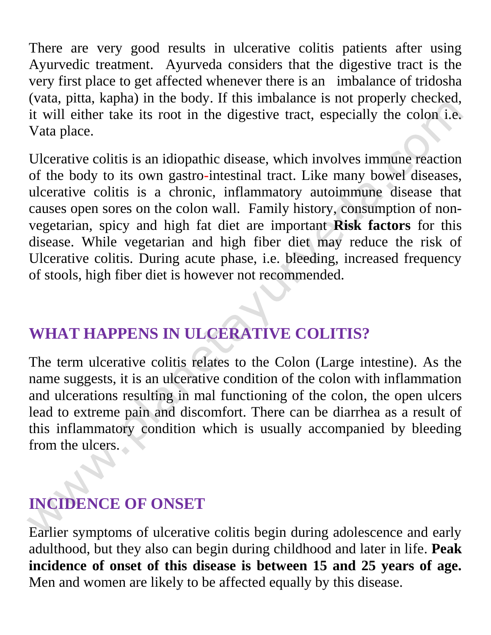There are very good results in ulcerative colitis patients after using Ayurvedic treatment. Ayurveda considers that the digestive tract is the very first place to get affected whenever there is an imbalance of tridosha (vata, pitta, kapha) in the body. If this imbalance is not properly checked, it will either take its root in the digestive tract, especially the colon i.e. Vata place.

Ulcerative colitis is an idiopathic disease, which involves immune reaction of the body to its own gastro-intestinal tract. Like many bowel diseases, ulcerative colitis is a chronic, inflammatory autoimmune disease that causes open sores on the colon wall. Family history, consumption of nonvegetarian, spicy and high fat diet are important **Risk factors** for this disease. While vegetarian and high fiber diet may reduce the risk of Ulcerative colitis. During acute phase, i.e. bleeding, increased frequency of stools, high fiber diet is however not recommended.

# **WHAT HAPPENS IN ULCERATIVE COLITIS?**

The term ulcerative colitis relates to the Colon (Large intestine). As the name suggests, it is an ulcerative condition of the colon with inflammation and ulcerations resulting in mal functioning of the colon, the open ulcers lead to extreme pain and discomfort. There can be diarrhea as a result of this inflammatory condition which is usually accompanied by bleeding from the ulcers.

# **INCIDENCE OF ONSET**

Earlier symptoms of ulcerative colitis begin during adolescence and early adulthood, but they also can begin during childhood and later in life. **Peak incidence of onset of this disease is between 15 and 25 years of age.** Men and women are likely to be affected equally by this disease.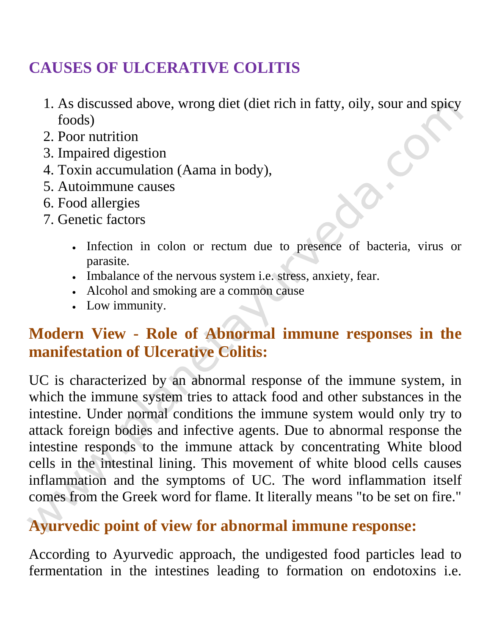#### **CAUSES OF ULCERATIVE COLITIS**

- 1. As discussed above, wrong diet (diet rich in fatty, oily, sour and spicy foods)
- 2. Poor nutrition
- 3. Impaired digestion
- 4. Toxin accumulation (Aama in body),
- 5. Autoimmune causes
- 6. Food allergies
- 7. Genetic factors
	- Infection in colon or rectum due to presence of bacteria, virus or parasite.
	- Imbalance of the nervous system i.e. stress, anxiety, fear.
	- Alcohol and smoking are a common cause
	- Low immunity.

#### **Modern View - Role of Abnormal immune responses in the manifestation of Ulcerative Colitis:**

UC is characterized by an abnormal response of the immune system, in which the immune system tries to attack food and other substances in the intestine. Under normal conditions the immune system would only try to attack foreign bodies and infective agents. Due to abnormal response the intestine responds to the immune attack by concentrating White blood cells in the intestinal lining. This movement of white blood cells causes inflammation and the symptoms of UC. The word inflammation itself comes from the Greek word for flame. It literally means "to be set on fire."

#### **Ayurvedic point of view for abnormal immune response:**

According to Ayurvedic approach, the undigested food particles lead to fermentation in the intestines leading to formation on endotoxins i.e.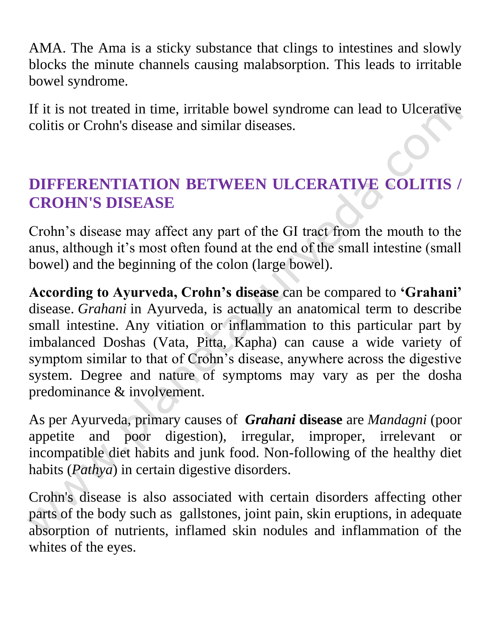AMA. The Ama is a sticky substance that clings to intestines and slowly blocks the minute channels causing malabsorption. This leads to irritable bowel syndrome.

If it is not treated in time, irritable bowel syndrome can lead to Ulcerative colitis or Crohn's disease and similar diseases.

#### **DIFFERENTIATION BETWEEN ULCERATIVE COLITIS / CROHN'S DISEASE**

Crohn's disease may affect any part of the GI tract from the mouth to the anus, although it's most often found at the end of the small intestine (small bowel) and the beginning of the colon (large bowel).

**According to Ayurveda, Crohn's disease** can be compared to **'Grahani'** disease. *Grahani* in Ayurveda, is actually an anatomical term to describe small intestine. Any vitiation or inflammation to this particular part by imbalanced Doshas (Vata, Pitta, Kapha) can cause a wide variety of symptom similar to that of Crohn's disease, anywhere across the digestive system. Degree and nature of symptoms may vary as per the dosha predominance & involvement.

As per Ayurveda, primary causes of *Grahani* **disease** are *Mandagni* (poor appetite and poor digestion), irregular, improper, irrelevant or incompatible diet habits and junk food. Non-following of the healthy diet habits (*Pathya*) in certain digestive disorders.

Crohn's disease is also associated with certain disorders affecting other parts of the body such as gallstones, joint pain, skin eruptions, in adequate absorption of nutrients, inflamed skin nodules and inflammation of the whites of the eyes.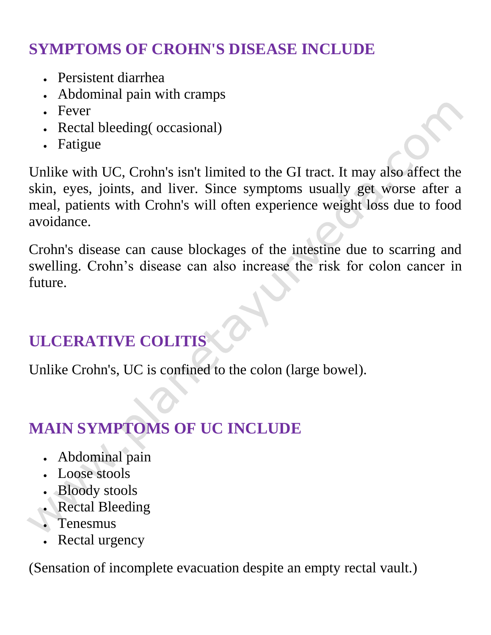# **SYMPTOMS OF CROHN'S DISEASE INCLUDE**

- Persistent diarrhea
- Abdominal pain with cramps
- Fever
- Rectal bleeding (occasional)
- Fatigue

Unlike with UC, Crohn's isn't limited to the GI tract. It may also affect the skin, eyes, joints, and liver. Since symptoms usually get worse after a meal, patients with Crohn's will often experience weight loss due to food avoidance.

Crohn's disease can cause blockages of the intestine due to scarring and swelling. Crohn's disease can also increase the risk for colon cancer in future.

# **ULCERATIVE COLITIS**

Unlike Crohn's, UC is confined to the colon (large bowel).

# **MAIN SYMPTOMS OF UC INCLUDE**

- Abdominal pain
- Loose stools
- Bloody stools
- Rectal Bleeding
- Tenesmus
- Rectal urgency

(Sensation of incomplete evacuation despite an empty rectal vault.)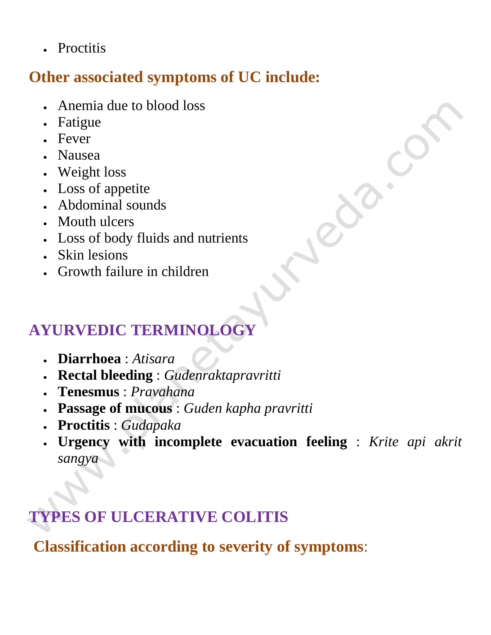• Proctitis

#### **Other associated symptoms of UC include:**

- Anemia due to blood loss
- Fatigue
- Fever
- Nausea
- Weight loss
- Loss of appetite
- Abdominal sounds
- Mouth ulcers
- Loss of body fluids and nutrients
- Skin lesions
- Growth failure in children

# **AYURVEDIC TERMINOLOGY**

- **Diarrhoea** : *Atisara*
- **Rectal bleeding** : *Gudenraktapravritti*
- **Tenesmus** : *Pravahana*
- **Passage of mucous** : *Guden kapha pravritti*
- **Proctitis** : *Gudapaka*
- **Urgency with incomplete evacuation feeling** : *Krite api akrit sangya*

# **TYPES OF ULCERATIVE COLITIS**

**Classification according to severity of symptoms**: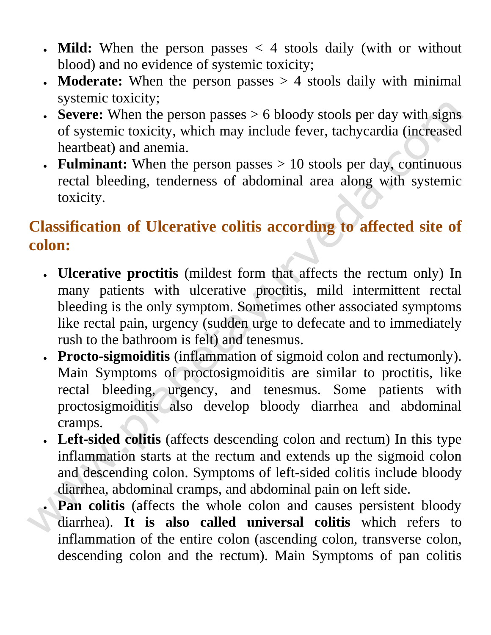- **Mild:** When the person passes < 4 stools daily (with or without blood) and no evidence of systemic toxicity;
- **Moderate:** When the person passes > 4 stools daily with minimal systemic toxicity;
- **Severe:** When the person passes > 6 bloody stools per day with signs of systemic toxicity, which may include fever, tachycardia (increased heartbeat) and anemia.
- **Fulminant:** When the person passes > 10 stools per day, continuous rectal bleeding, tenderness of abdominal area along with systemic toxicity.

#### **Classification of Ulcerative colitis according to affected site of colon:**

- **Ulcerative proctitis** (mildest form that affects the rectum only) In many patients with ulcerative proctitis, mild intermittent rectal bleeding is the only symptom. Sometimes other associated symptoms like rectal pain, urgency (sudden urge to defecate and to immediately rush to the bathroom is felt) and tenesmus.
- **Procto-sigmoiditis** (inflammation of sigmoid colon and rectumonly). Main Symptoms of proctosigmoiditis are similar to proctitis, like rectal bleeding, urgency, and tenesmus. Some patients with proctosigmoiditis also develop bloody diarrhea and abdominal cramps.
- **Left-sided colitis** (affects descending colon and rectum) In this type inflammation starts at the rectum and extends up the sigmoid colon and descending colon. Symptoms of left-sided colitis include bloody diarrhea, abdominal cramps, and abdominal pain on left side.
- **Pan colitis** (affects the whole colon and causes persistent bloody diarrhea). **It is also called universal colitis** which refers to inflammation of the entire colon (ascending colon, transverse colon, descending colon and the rectum). Main Symptoms of pan colitis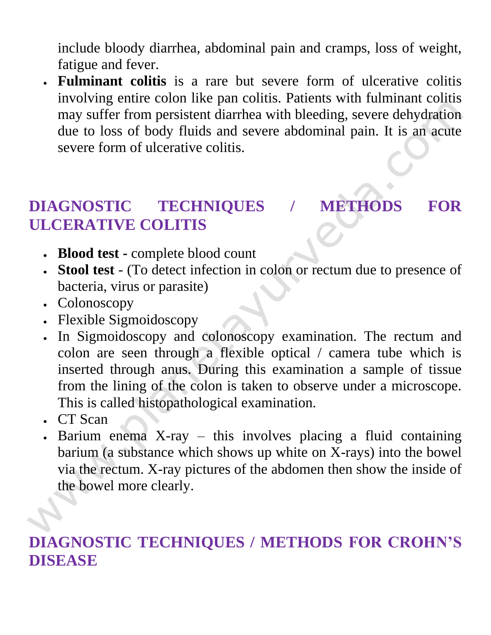include bloody diarrhea, abdominal pain and cramps, loss of weight, fatigue and fever.

 **Fulminant colitis** is a rare but severe form of ulcerative colitis involving entire colon like pan colitis. Patients with fulminant colitis may suffer from persistent diarrhea with bleeding, severe dehydration due to loss of body fluids and severe abdominal pain. It is an acute severe form of ulcerative colitis.

# **DIAGNOSTIC TECHNIQUES / METHODS FOR ULCERATIVE COLITIS**

- **Blood test -** complete blood count
- **Stool test** (To detect infection in colon or rectum due to presence of bacteria, virus or parasite)
- Colonoscopy
- Flexible Sigmoidoscopy
- In Sigmoidoscopy and colonoscopy examination. The rectum and colon are seen through a flexible optical / camera tube which is inserted through anus. During this examination a sample of tissue from the lining of the colon is taken to observe under a microscope. This is called histopathological examination.
- . CT Scan
- Barium enema X-ray this involves placing a fluid containing barium (a substance which shows up white on X-rays) into the bowel via the rectum. X-ray pictures of the abdomen then show the inside of the bowel more clearly.

#### **DIAGNOSTIC TECHNIQUES / METHODS FOR CROHN'S DISEASE**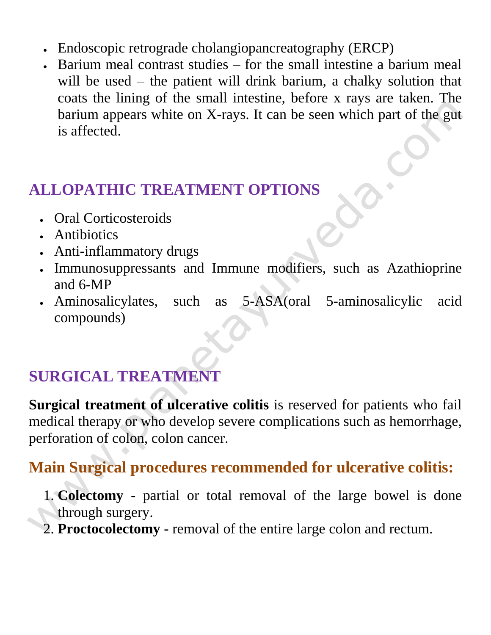- Endoscopic retrograde cholangiopancreatography (ERCP)
- Barium meal contrast studies for the small intestine a barium meal will be used – the patient will drink barium, a chalky solution that coats the lining of the small intestine, before x rays are taken. The barium appears white on X-rays. It can be seen which part of the gut is affected.

# **ALLOPATHIC TREATMENT OPTIONS**

- Oral Corticosteroids
- Antibiotics
- Anti-inflammatory drugs
- Immunosuppressants and Immune modifiers, such as Azathioprine and 6-MP
- Aminosalicylates, such as 5-ASA(oral 5-aminosalicylic acid compounds)

# **SURGICAL TREATMENT**

**Surgical treatment of ulcerative colitis** is reserved for patients who fail medical therapy or who develop severe complications such as hemorrhage, perforation of colon, colon cancer.

#### **Main Surgical procedures recommended for ulcerative colitis:**

- 1. **Colectomy** partial or total removal of the large bowel is done through surgery.
- 2. **Proctocolectomy -** removal of the entire large colon and rectum.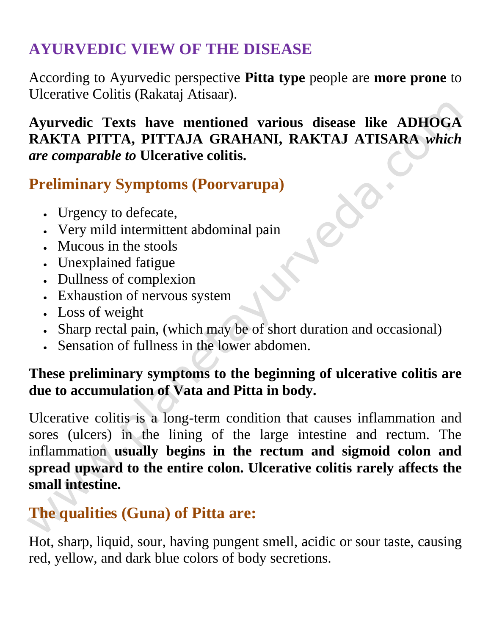# **AYURVEDIC VIEW OF THE DISEASE**

According to Ayurvedic perspective **Pitta type** people are **more prone** to Ulcerative Colitis (Rakataj Atisaar).

#### **Ayurvedic Texts have mentioned various disease like ADHOGA RAKTA PITTA, PITTAJA GRAHANI, RAKTAJ ATISARA** *which are comparable to* **Ulcerative colitis.**

# **Preliminary Symptoms (Poorvarupa)**

- Urgency to defecate,
- Very mild intermittent abdominal pain
- Mucous in the stools
- Unexplained fatigue
- Dullness of complexion
- Exhaustion of nervous system
- Loss of weight
- Sharp rectal pain, (which may be of short duration and occasional)
- Sensation of fullness in the lower abdomen.

#### **These preliminary symptoms to the beginning of ulcerative colitis are due to accumulation of Vata and Pitta in body.**

Ulcerative colitis is a long-term condition that causes inflammation and sores (ulcers) in the lining of the large intestine and rectum. The inflammation **usually begins in the rectum and sigmoid colon and spread upward to the entire colon. Ulcerative colitis rarely affects the small intestine.**

#### **The qualities (Guna) of Pitta are:**

Hot, sharp, liquid, sour, having pungent smell, acidic or sour taste, causing red, yellow, and dark blue colors of body secretions.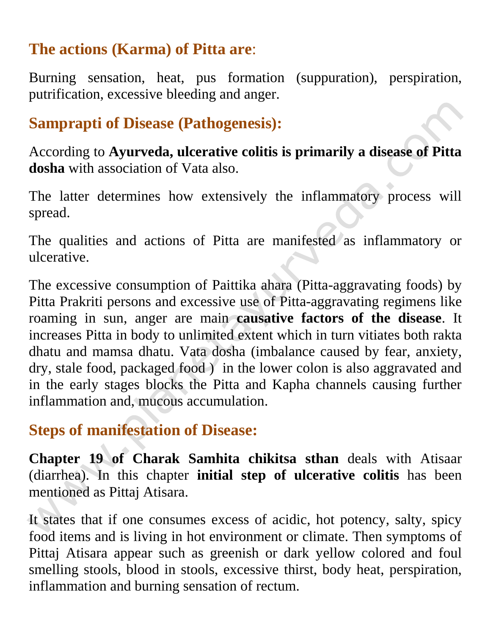#### **The actions (Karma) of Pitta are**:

Burning sensation, heat, pus formation (suppuration), perspiration, putrification, excessive bleeding and anger.

#### **Samprapti of Disease (Pathogenesis):**

According to **Ayurveda, ulcerative colitis is primarily a disease of Pitta dosha** with association of Vata also.

The latter determines how extensively the inflammatory process will spread.

The qualities and actions of Pitta are manifested as inflammatory or ulcerative.

The excessive consumption of Paittika ahara (Pitta-aggravating foods) by Pitta Prakriti persons and excessive use of Pitta-aggravating regimens like roaming in sun, anger are main **causative factors of the disease**. It increases Pitta in body to unlimited extent which in turn vitiates both rakta dhatu and mamsa dhatu. Vata dosha (imbalance caused by fear, anxiety, dry, stale food, packaged food ) in the lower colon is also aggravated and in the early stages blocks the Pitta and Kapha channels causing further inflammation and, mucous accumulation.

#### **Steps of manifestation of Disease:**

**Chapter 19 of Charak Samhita chikitsa sthan** deals with Atisaar (diarrhea). In this chapter **initial step of ulcerative colitis** has been mentioned as Pittaj Atisara.

It states that if one consumes excess of acidic, hot potency, salty, spicy food items and is living in hot environment or climate. Then symptoms of Pittaj Atisara appear such as greenish or dark yellow colored and foul smelling stools, blood in stools, excessive thirst, body heat, perspiration, inflammation and burning sensation of rectum.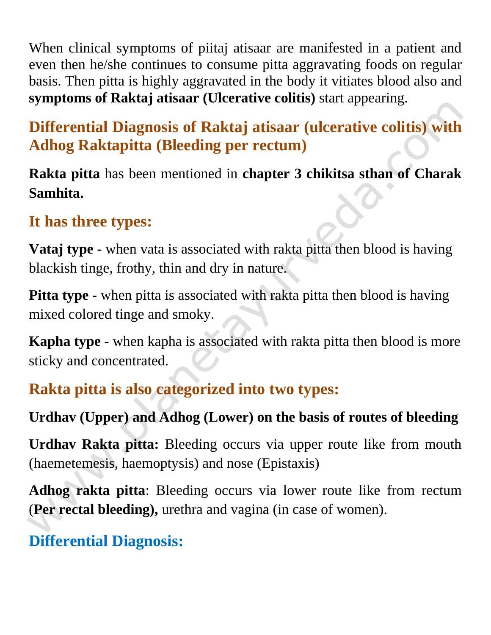When clinical symptoms of piitaj atisaar are manifested in a patient and even then he/she continues to consume pitta aggravating foods on regular basis. Then pitta is highly aggravated in the body it vitiates blood also and **symptoms of Raktaj atisaar (Ulcerative colitis)** start appearing.

# **Differential Diagnosis of Raktaj atisaar (ulcerative colitis) with Adhog Raktapitta (Bleeding per rectum)**

**Rakta pitta** has been mentioned in **chapter 3 chikitsa sthan of Charak Samhita.**

#### **It has three types:**

**Vataj type** - when vata is associated with rakta pitta then blood is having blackish tinge, frothy, thin and dry in nature.

**Pitta type** - when pitta is associated with rakta pitta then blood is having mixed colored tinge and smoky.

**Kapha type** - when kapha is associated with rakta pitta then blood is more sticky and concentrated.

#### **Rakta pitta is also categorized into two types:**

#### **Urdhav (Upper) and Adhog (Lower) on the basis of routes of bleeding**

**Urdhav Rakta pitta:** Bleeding occurs via upper route like from mouth (haemetemesis, haemoptysis) and nose (Epistaxis)

**Adhog rakta pitta**: Bleeding occurs via lower route like from rectum (**Per rectal bleeding),** urethra and vagina (in case of women).

# **Differential Diagnosis:**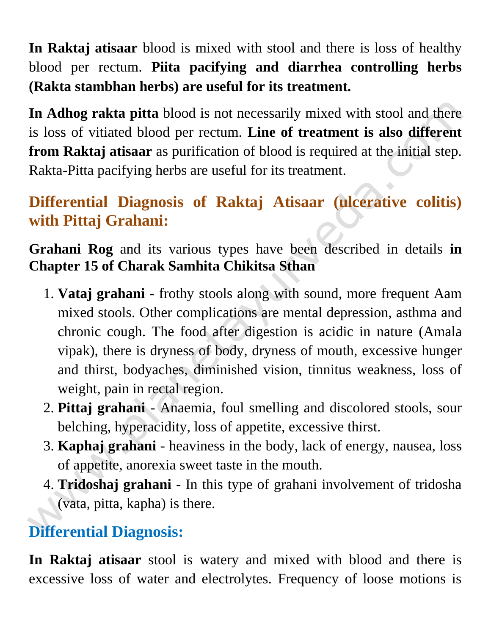**In Raktaj atisaar** blood is mixed with stool and there is loss of healthy blood per rectum. **Piita pacifying and diarrhea controlling herbs (Rakta stambhan herbs) are useful for its treatment.**

**In Adhog rakta pitta** blood is not necessarily mixed with stool and there is loss of vitiated blood per rectum. **Line of treatment is also different from Raktaj atisaar** as purification of blood is required at the initial step. Rakta-Pitta pacifying herbs are useful for its treatment.

# **Differential Diagnosis of Raktaj Atisaar (ulcerative colitis) with Pittaj Grahani:**

**Grahani Rog** and its various types have been described in details **in Chapter 15 of Charak Samhita Chikitsa Sthan** 

- 1. **Vataj grahani** frothy stools along with sound, more frequent Aam mixed stools. Other complications are mental depression, asthma and chronic cough. The food after digestion is acidic in nature (Amala vipak), there is dryness of body, dryness of mouth, excessive hunger and thirst, bodyaches, diminished vision, tinnitus weakness, loss of weight, pain in rectal region.
- 2. **Pittaj grahani** Anaemia, foul smelling and discolored stools, sour belching, hyperacidity, loss of appetite, excessive thirst.
- 3. **Kaphaj grahani** heaviness in the body, lack of energy, nausea, loss of appetite, anorexia sweet taste in the mouth.
- 4. **Tridoshaj grahani** In this type of grahani involvement of tridosha (vata, pitta, kapha) is there.

# **Differential Diagnosis:**

**In Raktaj atisaar** stool is watery and mixed with blood and there is excessive loss of water and electrolytes. Frequency of loose motions is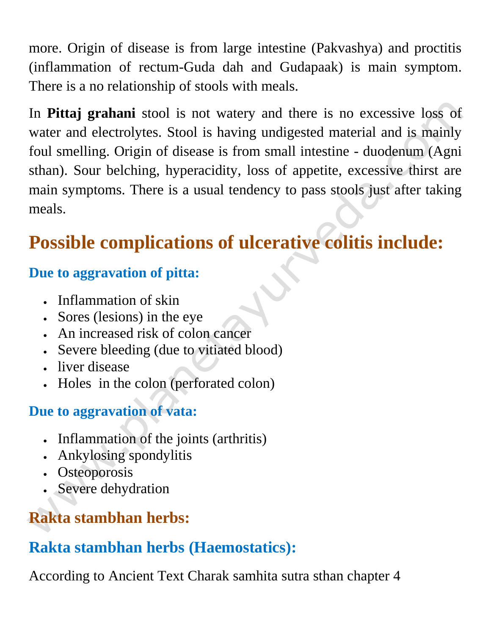more. Origin of disease is from large intestine (Pakvashya) and proctitis (inflammation of rectum-Guda dah and Gudapaak) is main symptom. There is a no relationship of stools with meals.

In **Pittaj grahani** stool is not watery and there is no excessive loss of water and electrolytes. Stool is having undigested material and is mainly foul smelling. Origin of disease is from small intestine - duodenum (Agni sthan). Sour belching, hyperacidity, loss of appetite, excessive thirst are main symptoms. There is a usual tendency to pass stools just after taking meals.

# **Possible complications of ulcerative colitis include:**

#### **Due to aggravation of pitta:**

- Inflammation of skin
- Sores (lesions) in the eye
- An increased risk of colon cancer
- Severe bleeding (due to vitiated blood)
- liver disease
- Holes in the colon (perforated colon)

#### **Due to aggravation of vata:**

- Inflammation of the joints (arthritis)
- Ankylosing spondylitis
- Osteoporosis
- Severe dehydration

# **Rakta stambhan herbs:**

#### **Rakta stambhan herbs (Haemostatics):**

According to Ancient Text Charak samhita sutra sthan chapter 4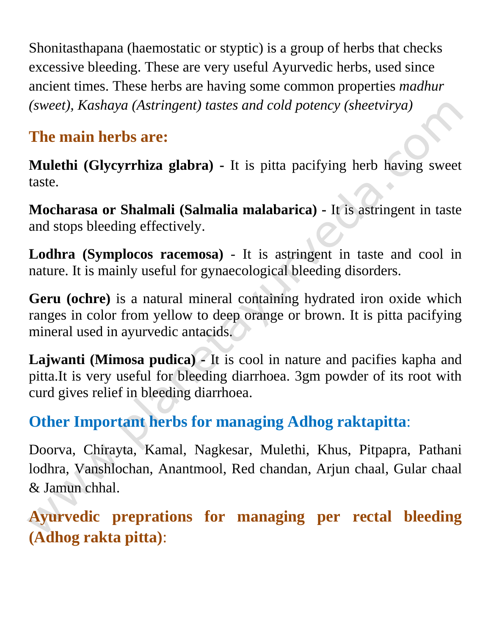Shonitasthapana (haemostatic or styptic) is a group of herbs that checks excessive bleeding. These are very useful Ayurvedic herbs, used since ancient times. These herbs are having some common properties *madhur (sweet), Kashaya (Astringent) tastes and cold potency (sheetvirya)*

#### **The main herbs are:**

**Mulethi (Glycyrrhiza glabra) -** It is pitta pacifying herb having sweet taste.

**Mocharasa or Shalmali (Salmalia malabarica) -** It is astringent in taste and stops bleeding effectively.

**Lodhra (Symplocos racemosa)** - It is astringent in taste and cool in nature. It is mainly useful for gynaecological bleeding disorders.

**Geru (ochre)** is a natural mineral containing hydrated iron oxide which ranges in color from yellow to deep orange or brown. It is pitta pacifying mineral used in ayurvedic antacids.

**Lajwanti (Mimosa pudica) -** It is cool in nature and pacifies kapha and pitta.It is very useful for bleeding diarrhoea. 3gm powder of its root with curd gives relief in bleeding diarrhoea.

# **Other Important herbs for managing Adhog raktapitta**:

Doorva, Chirayta, Kamal, Nagkesar, Mulethi, Khus, Pitpapra, Pathani lodhra, Vanshlochan, Anantmool, Red chandan, Arjun chaal, Gular chaal & Jamun chhal.

**Ayurvedic preprations for managing per rectal bleeding (Adhog rakta pitta)**: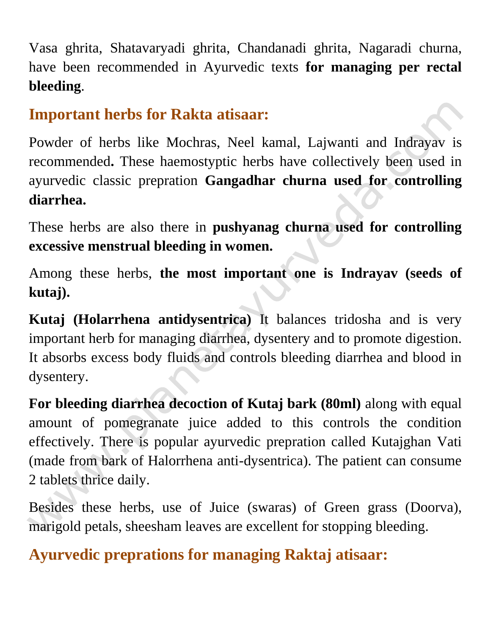Vasa ghrita, Shatavaryadi ghrita, Chandanadi ghrita, Nagaradi churna, have been recommended in Ayurvedic texts **for managing per rectal bleeding**.

#### **Important herbs for Rakta atisaar:**

Powder of herbs like Mochras, Neel kamal, Lajwanti and Indrayav is recommended**.** These haemostyptic herbs have collectively been used in ayurvedic classic prepration **Gangadhar churna used for controlling diarrhea.**

These herbs are also there in **pushyanag churna used for controlling excessive menstrual bleeding in women.** 

Among these herbs, **the most important one is Indrayav (seeds of kutaj).**

**Kutaj (Holarrhena antidysentrica)** It balances tridosha and is very important herb for managing diarrhea, dysentery and to promote digestion. It absorbs excess body fluids and controls bleeding diarrhea and blood in dysentery.

**For bleeding diarrhea decoction of Kutaj bark (80ml)** along with equal amount of pomegranate juice added to this controls the condition effectively. There is popular ayurvedic prepration called Kutajghan Vati (made from bark of Halorrhena anti-dysentrica). The patient can consume 2 tablets thrice daily.

Besides these herbs, use of Juice (swaras) of Green grass (Doorva), marigold petals, sheesham leaves are excellent for stopping bleeding.

# **Ayurvedic preprations for managing Raktaj atisaar:**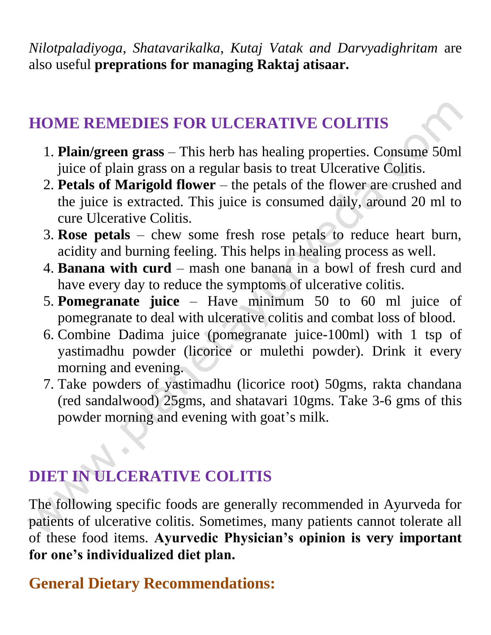*Nilotpaladiyoga*, *Shatavarikalka*, *Kutaj Vatak and Darvyadighritam* are also useful **preprations for managing Raktaj atisaar.**

#### **HOME REMEDIES FOR ULCERATIVE COLITIS**

- 1. **Plain/green grass** This herb has healing properties. Consume 50ml juice of plain grass on a regular basis to treat Ulcerative Colitis.
- 2. **Petals of Marigold flower** the petals of the flower are crushed and the juice is extracted. This juice is consumed daily, around 20 ml to cure Ulcerative Colitis.
- 3. **Rose petals**  chew some fresh rose petals to reduce heart burn, acidity and burning feeling. This helps in healing process as well.
- 4. **Banana with curd** mash one banana in a bowl of fresh curd and have every day to reduce the symptoms of ulcerative colitis.
- 5. **Pomegranate juice** Have minimum 50 to 60 ml juice of pomegranate to deal with ulcerative colitis and combat loss of blood.
- 6. Combine Dadima juice (pomegranate juice-100ml) with 1 tsp of yastimadhu powder (licorice or mulethi powder). Drink it every morning and evening.
- 7. Take powders of yastimadhu (licorice root) 50gms, rakta chandana (red sandalwood) 25gms, and shatavari 10gms. Take 3-6 gms of this powder morning and evening with goat's milk.

# **DIET IN ULCERATIVE COLITIS**

The following specific foods are generally recommended in Ayurveda for patients of ulcerative colitis. Sometimes, many patients cannot tolerate all of these food items. **Ayurvedic Physician's opinion is very important for one's individualized diet plan.**

#### **General Dietary Recommendations:**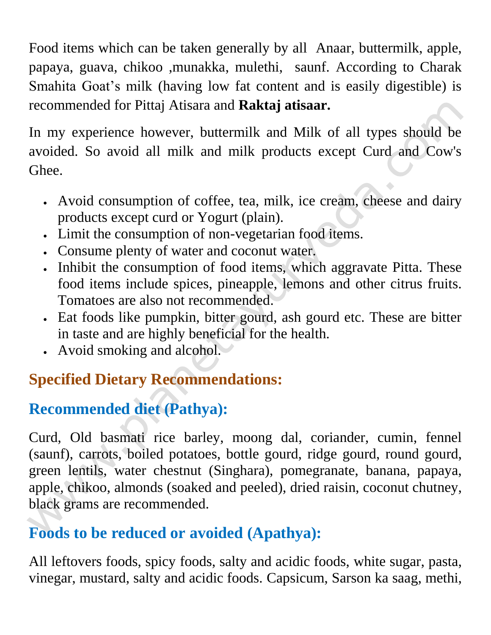Food items which can be taken generally by all Anaar, buttermilk, apple, papaya, guava, chikoo ,munakka, mulethi, saunf. According to Charak Smahita Goat's milk (having low fat content and is easily digestible) is recommended for Pittaj Atisara and **Raktaj atisaar.**

In my experience however, buttermilk and Milk of all types should be avoided. So avoid all milk and milk products except Curd and Cow's Ghee.

- Avoid consumption of coffee, tea, milk, ice cream, cheese and dairy products except curd or Yogurt (plain).
- Limit the consumption of non-vegetarian food items.
- Consume plenty of water and coconut water.
- Inhibit the consumption of food items, which aggravate Pitta. These food items include spices, pineapple, lemons and other citrus fruits. Tomatoes are also not recommended.
- Eat foods like pumpkin, bitter gourd, ash gourd etc. These are bitter in taste and are highly beneficial for the health.
- Avoid smoking and alcohol.

# **Specified Dietary Recommendations:**

# **Recommended diet (Pathya):**

Curd, Old basmati rice barley, moong dal, coriander, cumin, fennel (saunf), carrots, boiled potatoes, bottle gourd, ridge gourd, round gourd, green lentils, water chestnut (Singhara), pomegranate, banana, papaya, apple, chikoo, almonds (soaked and peeled), dried raisin, coconut chutney, black grams are recommended.

# **Foods to be reduced or avoided (Apathya):**

All leftovers foods, spicy foods, salty and acidic foods, white sugar, pasta, vinegar, mustard, salty and acidic foods. Capsicum, Sarson ka saag, methi,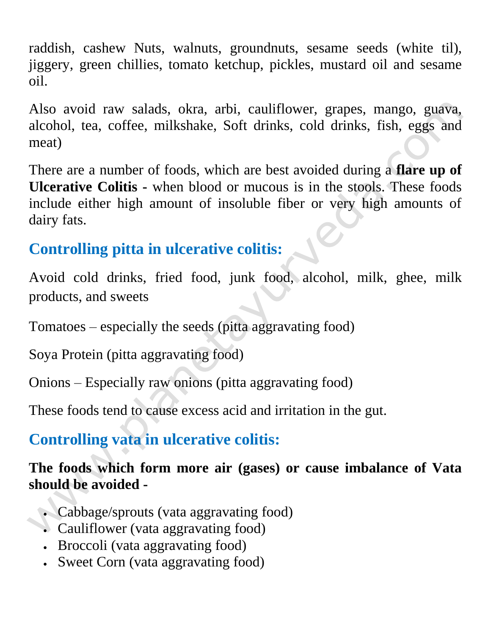raddish, cashew Nuts, walnuts, groundnuts, sesame seeds (white til), jiggery, green chillies, tomato ketchup, pickles, mustard oil and sesame oil.

Also avoid raw salads, okra, arbi, cauliflower, grapes, mango, guava, alcohol, tea, coffee, milkshake, Soft drinks, cold drinks, fish, eggs and meat)

There are a number of foods, which are best avoided during a **flare up of Ulcerative Colitis -** when blood or mucous is in the stools. These foods include either high amount of insoluble fiber or very high amounts of dairy fats.

#### **Controlling pitta in ulcerative colitis:**

Avoid cold drinks, fried food, junk food, alcohol, milk, ghee, milk products, and sweets

Tomatoes – especially the seeds (pitta aggravating food)

Soya Protein (pitta aggravating food)

Onions – Especially raw onions (pitta aggravating food)

These foods tend to cause excess acid and irritation in the gut.

# **Controlling vata in ulcerative colitis:**

#### **The foods which form more air (gases) or cause imbalance of Vata should be avoided -**

- Cabbage/sprouts (vata aggravating food)
- Cauliflower (vata aggravating food)
	- Broccoli (vata aggravating food)
	- Sweet Corn (vata aggravating food)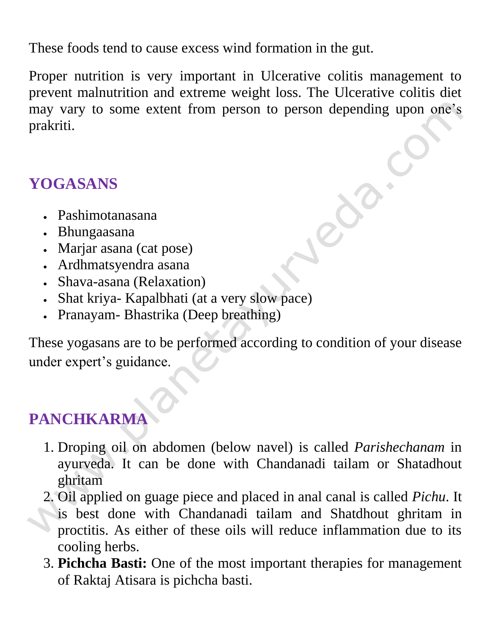These foods tend to cause excess wind formation in the gut.

Proper nutrition is very important in Ulcerative colitis management to prevent malnutrition and extreme weight loss. The Ulcerative colitis diet may vary to some extent from person to person depending upon one's prakriti.

#### **YOGASANS**

- Pashimotanasana
- Bhungaasana
- Marjar asana (cat pose)
- Ardhmatsyendra asana
- Shava-asana (Relaxation)
- Shat kriya- Kapalbhati (at a very slow pace)
- Pranayam- Bhastrika (Deep breathing)

These yogasans are to be performed according to condition of your disease under expert's guidance.

# **PANCHKARMA**

- 1. Droping oil on abdomen (below navel) is called *Parishechanam* in ayurveda. It can be done with Chandanadi tailam or Shatadhout ghritam
- 2. Oil applied on guage piece and placed in anal canal is called *Pichu*. It is best done with Chandanadi tailam and Shatdhout ghritam in proctitis. As either of these oils will reduce inflammation due to its cooling herbs.
- 3. **Pichcha Basti:** One of the most important therapies for management of Raktaj Atisara is pichcha basti.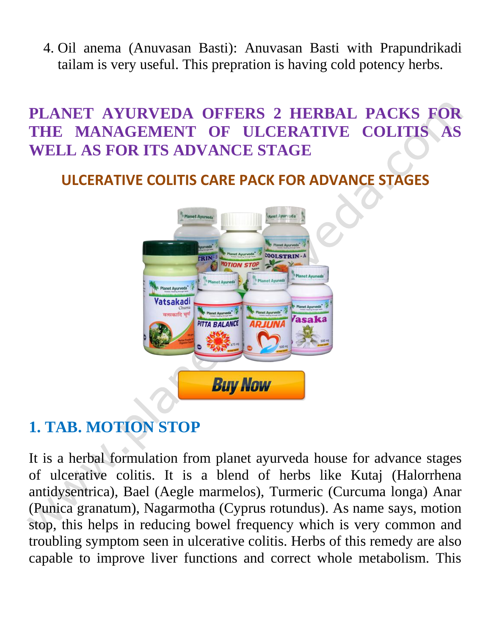4. Oil anema (Anuvasan Basti): Anuvasan Basti with Prapundrikadi tailam is very useful. This prepration is having cold potency herbs.

#### **PLANET AYURVEDA OFFERS 2 HERBAL PACKS FOR THE MANAGEMENT OF ULCERATIVE COLITIS AS WELL AS FOR ITS ADVANCE STAGE**

#### **ULCERATIVE COLITIS CARE PACK FOR ADVANCE STAGES**



# **1. TAB. MOTION STOP**

It is a herbal formulation from planet ayurveda house for advance stages of ulcerative colitis. It is a blend of herbs like Kutaj (Halorrhena antidysentrica), Bael (Aegle marmelos), Turmeric (Curcuma longa) Anar (Punica granatum), Nagarmotha (Cyprus rotundus). As name says, motion stop, this helps in reducing bowel frequency which is very common and troubling symptom seen in ulcerative colitis. Herbs of this remedy are also capable to improve liver functions and correct whole metabolism. This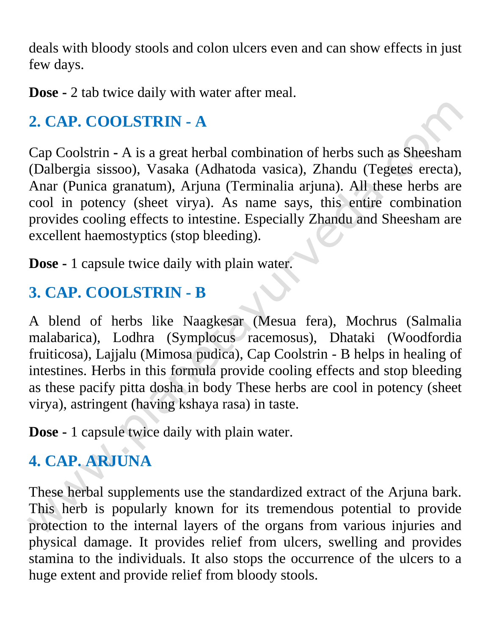deals with bloody stools and colon ulcers even and can show effects in just few days.

**Dose -** 2 tab twice daily with water after meal.

# **2. CAP. COOLSTRIN - A**

Cap Coolstrin **-** A is a great herbal combination of herbs such as Sheesham (Dalbergia sissoo), Vasaka (Adhatoda vasica), Zhandu (Tegetes erecta), Anar (Punica granatum), Arjuna (Terminalia arjuna). All these herbs are cool in potency (sheet virya). As name says, this entire combination provides cooling effects to intestine. Especially Zhandu and Sheesham are excellent haemostyptics (stop bleeding).

**Dose -** 1 capsule twice daily with plain water.

# **3. CAP. COOLSTRIN - B**

A blend of herbs like Naagkesar (Mesua fera), Mochrus (Salmalia malabarica), Lodhra (Symplocus racemosus), Dhataki (Woodfordia fruiticosa), Lajjalu (Mimosa pudica), Cap Coolstrin - B helps in healing of intestines. Herbs in this formula provide cooling effects and stop bleeding as these pacify pitta dosha in body These herbs are cool in potency (sheet virya), astringent (having kshaya rasa) in taste.

**Dose -** 1 capsule twice daily with plain water.

# **4. CAP. ARJUNA**

These herbal supplements use the standardized extract of the Arjuna bark. This herb is popularly known for its tremendous potential to provide protection to the internal layers of the organs from various injuries and physical damage. It provides relief from ulcers, swelling and provides stamina to the individuals. It also stops the occurrence of the ulcers to a huge extent and provide relief from bloody stools.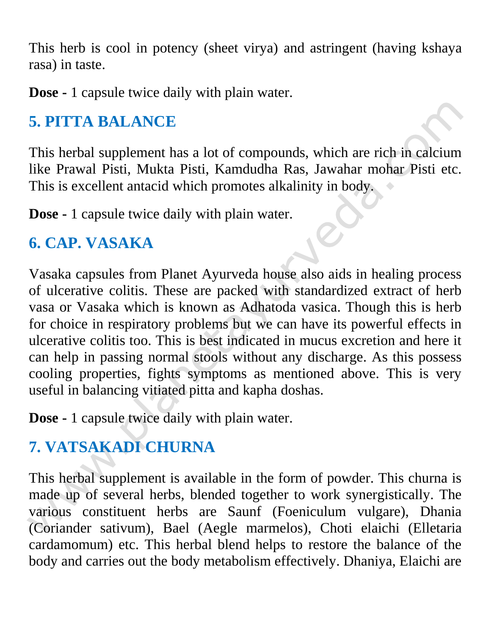This herb is cool in potency (sheet virya) and astringent (having kshaya rasa) in taste.

**Dose -** 1 capsule twice daily with plain water.

# **5. PITTA BALANCE**

This herbal supplement has a lot of compounds, which are rich in calcium like Prawal Pisti, Mukta Pisti, Kamdudha Ras, Jawahar mohar Pisti etc. This is excellent antacid which promotes alkalinity in body.

**Dose -** 1 capsule twice daily with plain water.

#### **6. CAP. VASAKA**

Vasaka capsules from Planet Ayurveda house also aids in healing process of ulcerative colitis. These are packed with standardized extract of herb vasa or Vasaka which is known as Adhatoda vasica. Though this is herb for choice in respiratory problems but we can have its powerful effects in ulcerative colitis too. This is best indicated in mucus excretion and here it can help in passing normal stools without any discharge. As this possess cooling properties, fights symptoms as mentioned above. This is very useful in balancing vitiated pitta and kapha doshas.

**Dose -** 1 capsule twice daily with plain water.

# **7. VATSAKADI CHURNA**

This herbal supplement is available in the form of powder. This churna is made up of several herbs, blended together to work synergistically. The various constituent herbs are Saunf (Foeniculum vulgare), Dhania (Coriander sativum), Bael (Aegle marmelos), Choti elaichi (Elletaria cardamomum) etc. This herbal blend helps to restore the balance of the body and carries out the body metabolism effectively. Dhaniya, Elaichi are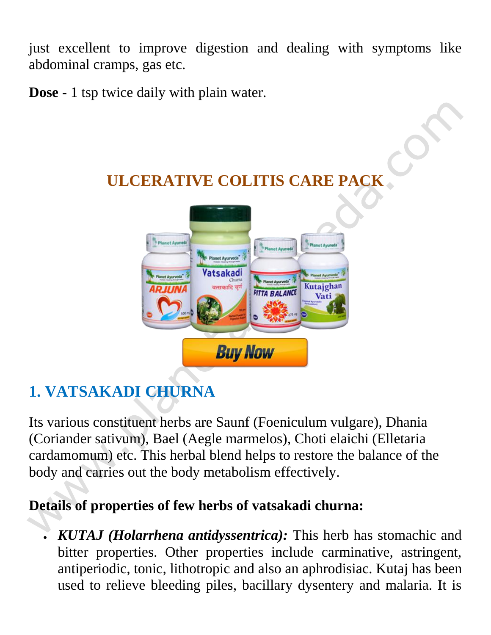just excellent to improve digestion and dealing with symptoms like abdominal cramps, gas etc.

**Dose -** 1 tsp twice daily with plain water.

# **ULCERATIVE COLITIS CARE PACK**



# **1. VATSAKADI CHURNA**

Its various constituent herbs are Saunf (Foeniculum vulgare), Dhania (Coriander sativum), Bael (Aegle marmelos), Choti elaichi (Elletaria cardamomum) etc. This herbal blend helps to restore the balance of the body and carries out the body metabolism effectively.

#### **Details of properties of few herbs of vatsakadi churna:**

 *KUTAJ (Holarrhena antidyssentrica):* This herb has stomachic and bitter properties. Other properties include carminative, astringent, antiperiodic, tonic, lithotropic and also an aphrodisiac. Kutaj has been used to relieve bleeding piles, bacillary dysentery and malaria. It is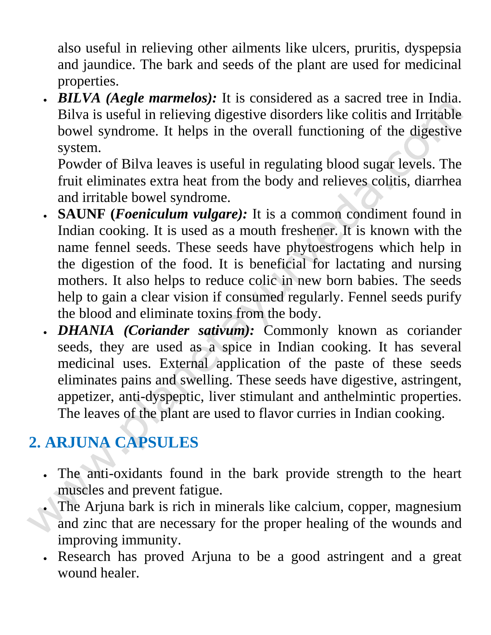also useful in relieving other ailments like ulcers, pruritis, dyspepsia and jaundice. The bark and seeds of the plant are used for medicinal properties.

 *BILVA (Aegle marmelos):* It is considered as a sacred tree in India. Bilva is useful in relieving digestive disorders like colitis and Irritable bowel syndrome. It helps in the overall functioning of the digestive system.

Powder of Bilva leaves is useful in regulating blood sugar levels. The fruit eliminates extra heat from the body and relieves colitis, diarrhea and irritable bowel syndrome.

- **SAUNF (***Foeniculum vulgare):* It is a common condiment found in Indian cooking. It is used as a mouth freshener. It is known with the name fennel seeds. These seeds have phytoestrogens which help in the digestion of the food. It is beneficial for lactating and nursing mothers. It also helps to reduce colic in new born babies. The seeds help to gain a clear vision if consumed regularly. Fennel seeds purify the blood and eliminate toxins from the body.
- *DHANIA (Coriander sativum):* Commonly known as coriander seeds, they are used as a spice in Indian cooking. It has several medicinal uses. External application of the paste of these seeds eliminates pains and swelling. These seeds have digestive, astringent, appetizer, anti-dyspeptic, liver stimulant and anthelmintic properties. The leaves of the plant are used to flavor curries in Indian cooking.

# **2. ARJUNA CAPSULES**

- The anti-oxidants found in the bark provide strength to the heart muscles and prevent fatigue.
- The Arjuna bark is rich in minerals like calcium, copper, magnesium and zinc that are necessary for the proper healing of the wounds and improving immunity.
- Research has proved Arjuna to be a good astringent and a great wound healer.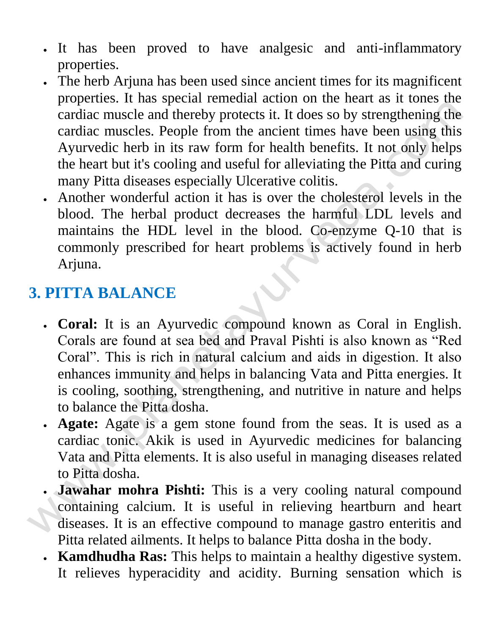- It has been proved to have analgesic and anti-inflammatory properties.
- The herb Arjuna has been used since ancient times for its magnificent properties. It has special remedial action on the heart as it tones the cardiac muscle and thereby protects it. It does so by strengthening the cardiac muscles. People from the ancient times have been using this Ayurvedic herb in its raw form for health benefits. It not only helps the heart but it's cooling and useful for alleviating the Pitta and curing many Pitta diseases especially Ulcerative colitis.
- Another wonderful action it has is over the cholesterol levels in the blood. The herbal product decreases the harmful LDL levels and maintains the HDL level in the blood. Co-enzyme Q-10 that is commonly prescribed for heart problems is actively found in herb Arjuna.

# **3. PITTA BALANCE**

- **Coral:** It is an Ayurvedic compound known as Coral in English. Corals are found at sea bed and Praval Pishti is also known as "Red Coral". This is rich in natural calcium and aids in digestion. It also enhances immunity and helps in balancing Vata and Pitta energies. It is cooling, soothing, strengthening, and nutritive in nature and helps to balance the Pitta dosha.
- **Agate:** Agate is a gem stone found from the seas. It is used as a cardiac tonic. Akik is used in Ayurvedic medicines for balancing Vata and Pitta elements. It is also useful in managing diseases related to Pitta dosha.
- **Jawahar mohra Pishti:** This is a very cooling natural compound containing calcium. It is useful in relieving heartburn and heart diseases. It is an effective compound to manage gastro enteritis and Pitta related ailments. It helps to balance Pitta dosha in the body.
- **Kamdhudha Ras:** This helps to maintain a healthy digestive system. It relieves hyperacidity and acidity. Burning sensation which is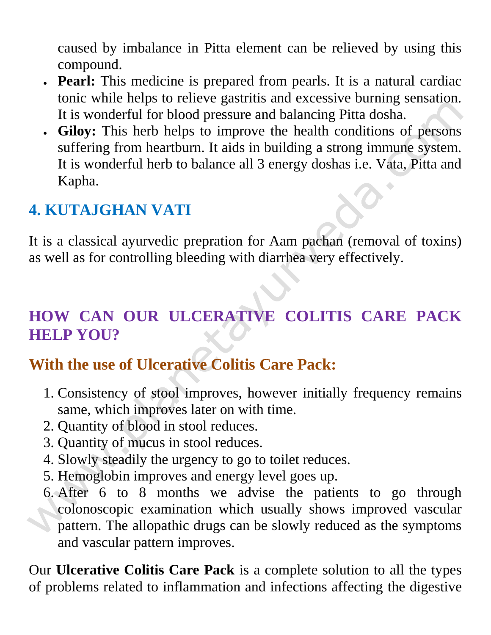caused by imbalance in Pitta element can be relieved by using this compound.

- **Pearl:** This medicine is prepared from pearls. It is a natural cardiac tonic while helps to relieve gastritis and excessive burning sensation. It is wonderful for blood pressure and balancing Pitta dosha.
- **Giloy:** This herb helps to improve the health conditions of persons suffering from heartburn. It aids in building a strong immune system. It is wonderful herb to balance all 3 energy doshas i.e. Vata, Pitta and Kapha.

#### **4. KUTAJGHAN VATI**

It is a classical ayurvedic prepration for Aam pachan (removal of toxins) as well as for controlling bleeding with diarrhea very effectively.

# **HOW CAN OUR ULCERATIVE COLITIS CARE PACK HELP YOU?**

#### **With the use of Ulcerative Colitis Care Pack:**

- 1. Consistency of stool improves, however initially frequency remains same, which improves later on with time.
- 2. Quantity of blood in stool reduces.
- 3. Quantity of mucus in stool reduces.
- 4. Slowly steadily the urgency to go to toilet reduces.
- 5. Hemoglobin improves and energy level goes up.
- 6. After 6 to 8 months we advise the patients to go through colonoscopic examination which usually shows improved vascular pattern. The allopathic drugs can be slowly reduced as the symptoms and vascular pattern improves.

Our **Ulcerative Colitis Care Pack** is a complete solution to all the types of problems related to inflammation and infections affecting the digestive